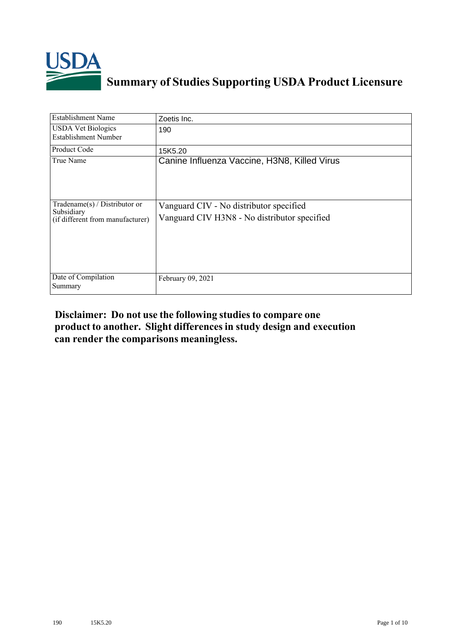

## **Summary of Studies Supporting USDA Product Licensure**

| <b>Establishment Name</b>                                                       | Zoetis Inc.                                                                             |
|---------------------------------------------------------------------------------|-----------------------------------------------------------------------------------------|
| <b>USDA Vet Biologics</b><br><b>Establishment Number</b>                        | 190                                                                                     |
| <b>Product Code</b>                                                             | 15K5.20                                                                                 |
| True Name                                                                       | Canine Influenza Vaccine, H3N8, Killed Virus                                            |
| Tradename(s) / Distributor or<br>Subsidiary<br>(if different from manufacturer) | Vanguard CIV - No distributor specified<br>Vanguard CIV H3N8 - No distributor specified |
| Date of Compilation<br>Summary                                                  | February 09, 2021                                                                       |

## **Disclaimer: Do not use the following studiesto compare one product to another. Slight differencesin study design and execution can render the comparisons meaningless.**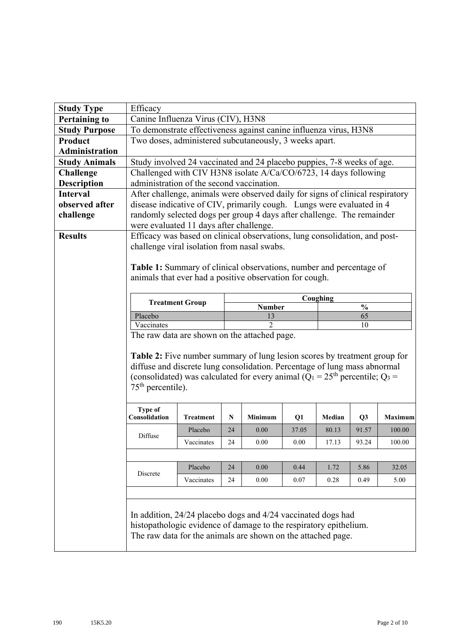| <b>Study Type</b>     | Efficacy                                                                                                                                                                                                                                                           |                        |           |                |       |          |                |                |  |
|-----------------------|--------------------------------------------------------------------------------------------------------------------------------------------------------------------------------------------------------------------------------------------------------------------|------------------------|-----------|----------------|-------|----------|----------------|----------------|--|
| <b>Pertaining to</b>  | Canine Influenza Virus (CIV), H3N8                                                                                                                                                                                                                                 |                        |           |                |       |          |                |                |  |
| <b>Study Purpose</b>  |                                                                                                                                                                                                                                                                    |                        |           |                |       |          |                |                |  |
| Product               | To demonstrate effectiveness against canine influenza virus, H3N8<br>Two doses, administered subcutaneously, 3 weeks apart.                                                                                                                                        |                        |           |                |       |          |                |                |  |
| <b>Administration</b> |                                                                                                                                                                                                                                                                    |                        |           |                |       |          |                |                |  |
| <b>Study Animals</b>  | Study involved 24 vaccinated and 24 placebo puppies, 7-8 weeks of age.                                                                                                                                                                                             |                        |           |                |       |          |                |                |  |
| <b>Challenge</b>      | Challenged with CIV H3N8 isolate A/Ca/CO/6723, 14 days following                                                                                                                                                                                                   |                        |           |                |       |          |                |                |  |
| <b>Description</b>    | administration of the second vaccination.                                                                                                                                                                                                                          |                        |           |                |       |          |                |                |  |
| <b>Interval</b>       | After challenge, animals were observed daily for signs of clinical respiratory                                                                                                                                                                                     |                        |           |                |       |          |                |                |  |
| observed after        | disease indicative of CIV, primarily cough. Lungs were evaluated in 4                                                                                                                                                                                              |                        |           |                |       |          |                |                |  |
| challenge             | randomly selected dogs per group 4 days after challenge. The remainder                                                                                                                                                                                             |                        |           |                |       |          |                |                |  |
|                       | were evaluated 11 days after challenge.                                                                                                                                                                                                                            |                        |           |                |       |          |                |                |  |
| <b>Results</b>        | Efficacy was based on clinical observations, lung consolidation, and post-                                                                                                                                                                                         |                        |           |                |       |          |                |                |  |
|                       | challenge viral isolation from nasal swabs.                                                                                                                                                                                                                        |                        |           |                |       |          |                |                |  |
|                       |                                                                                                                                                                                                                                                                    |                        |           |                |       |          |                |                |  |
|                       | Table 1: Summary of clinical observations, number and percentage of                                                                                                                                                                                                |                        |           |                |       |          |                |                |  |
|                       | animals that ever had a positive observation for cough.                                                                                                                                                                                                            |                        |           |                |       |          |                |                |  |
|                       |                                                                                                                                                                                                                                                                    |                        |           |                |       | Coughing |                |                |  |
|                       |                                                                                                                                                                                                                                                                    | <b>Treatment Group</b> |           | <b>Number</b>  |       |          | $\frac{0}{0}$  |                |  |
|                       | Placebo                                                                                                                                                                                                                                                            |                        |           | 13             |       |          | 65             |                |  |
|                       | Vaccinates                                                                                                                                                                                                                                                         |                        |           | $\mathfrak{D}$ |       |          | 10             |                |  |
|                       | The raw data are shown on the attached page.                                                                                                                                                                                                                       |                        |           |                |       |          |                |                |  |
|                       | Table 2: Five number summary of lung lesion scores by treatment group for<br>diffuse and discrete lung consolidation. Percentage of lung mass abnormal<br>(consolidated) was calculated for every animal ( $Q_1 = 25th$ percentile; $Q_3 =$<br>$75th$ percentile). |                        |           |                |       |          |                |                |  |
|                       | <b>Type of</b>                                                                                                                                                                                                                                                     |                        |           |                |       |          |                |                |  |
|                       | Consolidation                                                                                                                                                                                                                                                      | <b>Treatment</b>       | ${\bf N}$ | Minimum        | Q1    | Median   | Q <sub>3</sub> | <b>Maximum</b> |  |
|                       | Diffuse                                                                                                                                                                                                                                                            | Placebo                | 24        | 0.00           | 37.05 | 80.13    | 91.57          | 100.00         |  |
|                       |                                                                                                                                                                                                                                                                    | Vaccinates             | 24        | 0.00           | 0.00  | 17.13    | 93.24          | 100.00         |  |
|                       |                                                                                                                                                                                                                                                                    |                        |           |                |       |          |                |                |  |
|                       |                                                                                                                                                                                                                                                                    | Placebo                | 24        | $0.00\,$       | 0.44  | 1.72     | 5.86           | 32.05          |  |
|                       | Discrete                                                                                                                                                                                                                                                           | Vaccinates             | 24        | 0.00           | 0.07  | 0.28     | 0.49           | 5.00           |  |
|                       |                                                                                                                                                                                                                                                                    |                        |           |                |       |          |                |                |  |
|                       |                                                                                                                                                                                                                                                                    |                        |           |                |       |          |                |                |  |
|                       | In addition, 24/24 placebo dogs and 4/24 vaccinated dogs had<br>histopathologic evidence of damage to the respiratory epithelium.<br>The raw data for the animals are shown on the attached page.                                                                  |                        |           |                |       |          |                |                |  |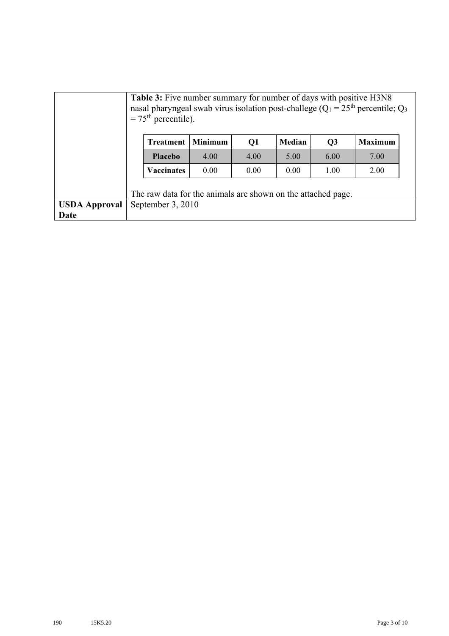|                      | <b>Table 3:</b> Five number summary for number of days with positive H3N8<br>nasal pharyngeal swab virus isolation post-challege ( $Q_1 = 25$ <sup>th</sup> percentile; $Q_3$<br>$=75th$ percentile). |                |      |        |                |                |  |  |  |  |
|----------------------|-------------------------------------------------------------------------------------------------------------------------------------------------------------------------------------------------------|----------------|------|--------|----------------|----------------|--|--|--|--|
|                      | <b>Treatment</b>                                                                                                                                                                                      | <b>Minimum</b> | Q1   | Median | Q <sub>3</sub> | <b>Maximum</b> |  |  |  |  |
|                      | <b>Placebo</b>                                                                                                                                                                                        | 4.00           | 4.00 | 5.00   | 6.00           | 7.00           |  |  |  |  |
|                      | <b>Vaccinates</b>                                                                                                                                                                                     | 0.00           | 0.00 | 0.00   | 1.00           | 2.00           |  |  |  |  |
|                      | The raw data for the animals are shown on the attached page.                                                                                                                                          |                |      |        |                |                |  |  |  |  |
| <b>USDA Approval</b> | September 3, 2010                                                                                                                                                                                     |                |      |        |                |                |  |  |  |  |
| Date                 |                                                                                                                                                                                                       |                |      |        |                |                |  |  |  |  |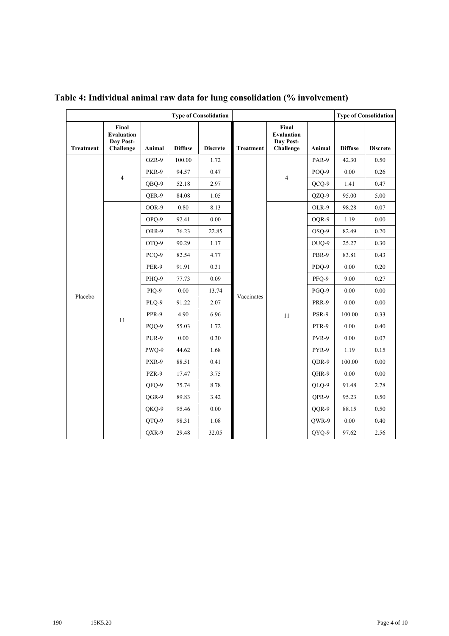|                  |                                                      |        |                | <b>Type of Consolidation</b> |                  |                                                      |         |                | <b>Type of Consolidation</b> |
|------------------|------------------------------------------------------|--------|----------------|------------------------------|------------------|------------------------------------------------------|---------|----------------|------------------------------|
| <b>Treatment</b> | Final<br><b>Evaluation</b><br>Day Post-<br>Challenge | Animal | <b>Diffuse</b> | <b>Discrete</b>              | <b>Treatment</b> | Final<br><b>Evaluation</b><br>Day Post-<br>Challenge | Animal  | <b>Diffuse</b> | <b>Discrete</b>              |
|                  |                                                      | OZR-9  | 100.00         | 1.72                         |                  |                                                      | PAR-9   | 42.30          | 0.50                         |
|                  |                                                      | PKR-9  | 94.57          | 0.47                         |                  |                                                      | POO-9   | 0.00           | 0.26                         |
|                  | $\overline{4}$                                       | OBO-9  | 52.18          | 2.97                         |                  | 4                                                    | $QCO-9$ | 1.41           | 0.47                         |
|                  |                                                      | OER-9  | 84.08          | 1.05                         |                  |                                                      | QZQ-9   | 95.00          | 5.00                         |
|                  |                                                      | OOR-9  | 0.80           | 8.13                         |                  |                                                      | OLR-9   | 98.28          | 0.07                         |
|                  |                                                      | OPO-9  | 92.41          | 0.00                         |                  |                                                      | OOR-9   | 1.19           | 0.00                         |
|                  |                                                      | ORR-9  | 76.23          | 22.85                        |                  |                                                      | OSO-9   | 82.49          | 0.20                         |
|                  |                                                      | OTO-9  | 90.29          | 1.17                         |                  |                                                      | OUQ-9   | 25.27          | 0.30                         |
|                  |                                                      | PCO-9  | 82.54          | 4.77                         |                  |                                                      | PBR-9   | 83.81          | 0.43                         |
|                  |                                                      | PER-9  | 91.91          | 0.31                         |                  |                                                      | PDQ-9   | 0.00           | 0.20                         |
|                  |                                                      | PHO-9  | 77.73          | 0.09                         |                  |                                                      | PFO-9   | 9.00           | 0.27                         |
| Placebo          |                                                      | PIQ-9  | 0.00           | 13.74                        | Vaccinates       |                                                      | PGQ-9   | 0.00           | $0.00\,$                     |
|                  |                                                      | PLQ-9  | 91.22          | 2.07                         |                  |                                                      | PRR-9   | $0.00\,$       | 0.00                         |
|                  |                                                      | PPR-9  | 4.90           | 6.96                         |                  | 11                                                   | PSR-9   | 100.00         | 0.33                         |
|                  | 11                                                   | PQQ-9  | 55.03          | 1.72                         |                  |                                                      | PTR-9   | 0.00           | 0.40                         |
|                  |                                                      | PUR-9  | $0.00\,$       | 0.30                         |                  |                                                      | PVR-9   | $0.00\,$       | $0.07\,$                     |
|                  |                                                      | PWQ-9  | 44.62          | 1.68                         |                  |                                                      | PYR-9   | 1.19           | 0.15                         |
|                  |                                                      | PXR-9  | 88.51          | 0.41                         |                  |                                                      | QDR-9   | 100.00         | 0.00                         |
|                  |                                                      | PZR-9  | 17.47          | 3.75                         |                  |                                                      | OHR-9   | 0.00           | 0.00                         |
|                  |                                                      | QFQ-9  | 75.74          | 8.78                         |                  |                                                      | QLQ-9   | 91.48          | 2.78                         |
|                  |                                                      | OGR-9  | 89.83          | 3.42                         |                  |                                                      | OPR-9   | 95.23          | 0.50                         |
|                  |                                                      | QKQ-9  | 95.46          | 0.00                         |                  |                                                      | QQR-9   | 88.15          | 0.50                         |
|                  |                                                      | QTQ-9  | 98.31          | 1.08                         |                  |                                                      | QWR-9   | 0.00           | 0.40                         |
|                  |                                                      | QXR-9  | 29.48          | 32.05                        |                  |                                                      | QYQ-9   | 97.62          | 2.56                         |

**Table 4: Individual animal raw data for lung consolidation (% involvement)**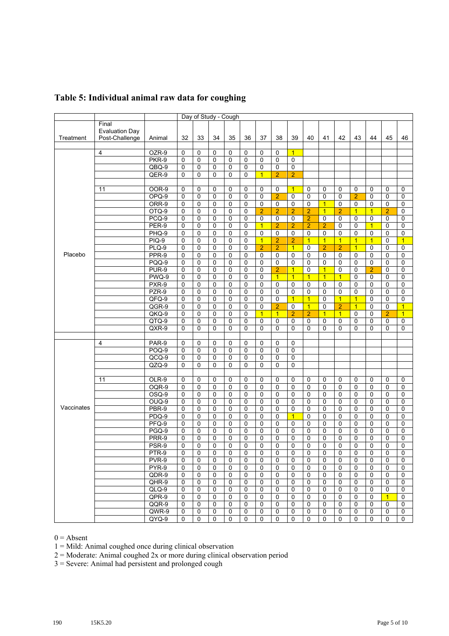|            |                       |                  |                |                  |                          | Day of Study - Cough |                  |                |                            |                            |                            |                |                |                |                  |                   |                |
|------------|-----------------------|------------------|----------------|------------------|--------------------------|----------------------|------------------|----------------|----------------------------|----------------------------|----------------------------|----------------|----------------|----------------|------------------|-------------------|----------------|
|            | Final                 |                  |                |                  |                          |                      |                  |                |                            |                            |                            |                |                |                |                  |                   |                |
|            | <b>Evaluation Day</b> |                  |                |                  |                          |                      |                  |                |                            |                            |                            |                |                |                |                  |                   |                |
| Treatment  | Post-Challenge        | Animal           | 32             | 33               | 34                       | 35                   | 36               | 37             | 38                         | 39                         | 40                         | 41             | 42             | 43             | 44               | 45                | 46             |
|            |                       |                  |                |                  |                          |                      |                  |                |                            |                            |                            |                |                |                |                  |                   |                |
|            | $\overline{4}$        | OZR-9            | 0              | 0                | 0                        | 0                    | $\pmb{0}$        | 0              | 0                          | $\overline{1}$             |                            |                |                |                |                  |                   |                |
|            |                       | PKR-9            | 0              | 0                | 0                        | 0                    | 0                | 0              | 0                          | $\mathsf 0$                |                            |                |                |                |                  |                   |                |
|            |                       | QBQ-9            | 0              | 0                | 0                        | 0                    | $\mathbf 0$      | 0              | 0                          | $\mathsf 0$                |                            |                |                |                |                  |                   |                |
|            |                       | QER-9            | 0              | $\mathbf 0$      | $\mathbf{0}$             | $\Omega$             | $\mathbf 0$      | $\overline{1}$ | $\overline{2}$             | $\overline{2}$             |                            |                |                |                |                  |                   |                |
|            |                       |                  |                |                  |                          |                      |                  |                |                            |                            |                            |                |                |                |                  |                   |                |
|            | 11                    | OOR-9            | 0              | 0                | 0                        | 0                    | 0                | 0              | 0                          | $\overline{1}$             | 0                          | 0              | 0              | 0              | 0                | 0                 | 0              |
|            |                       | $OPQ-9$          | 0              | $\mathbf 0$      | $\mathbf 0$              | 0                    | $\mathbf 0$      | 0              | $\overline{2}$             | $\mathbf 0$                | 0                          | 0              | $\mathbf 0$    | $\overline{2}$ | $\mathbf 0$      | 0                 | $\mathbf 0$    |
|            |                       | ORR-9            | 0              | $\mathbf 0$      | 0                        | 0                    | $\pmb{0}$        | 0              | $\mathbf 0$                | $\mathbf 0$                | $\mathbf 0$                | $\overline{1}$ | 0              | 0              | $\mathbf 0$      | 0                 | 0              |
|            |                       | OTQ-9            | $\mathbf 0$    | $\mathbf 0$      | $\mathbf{0}$             | $\mathbf 0$          | $\mathbf 0$      | $\overline{2}$ | $\overline{2}$             | $\overline{2}$             | $\overline{2}$             | $\overline{1}$ | $\overline{2}$ | $\overline{1}$ | $\overline{1}$   | $\overline{2}$    | $\mathbf 0$    |
|            |                       | $PCQ-9$          | 0              | $\mathbf 0$      | 0                        | $\mathbf 0$          | $\mathbf 0$      | $\mathbf 0$    | $\mathbf 0$                | $\mathbf 0$                | $\overline{2}$             | 0              | $\mathbf 0$    | 0              | 0                | 0                 | 0              |
|            |                       | PER-9            | 0              | $\mathbf 0$      | 0                        | 0                    | $\mathbf 0$      | $\overline{1}$ | $\overline{2}$             | $\overline{2}$             | $\overline{2}$             | $\overline{2}$ | $\mathbf 0$    | 0              | $\overline{1}$   | 0                 | $\mathbf 0$    |
|            |                       | PHQ-9            | 0              | $\mathbf 0$      | $\mathbf{0}$             | 0                    | $\mathbf 0$      | $\Omega$       | $\mathbf 0$                | $\mathbf 0$                | $\mathbf 0$                | 0              | $\mathbf 0$    | 0              | $\mathbf 0$      | $\Omega$          | 0              |
|            |                       | PIQ-9            | 0              | $\mathbf 0$      | 0                        | $\mathbf 0$          | $\mathbf 0$      | $\overline{1}$ | $\overline{2}$             | $\overline{2}$             | $\mathbf{1}$               | $\overline{1}$ | $\overline{1}$ | $\overline{1}$ | $\overline{1}$   | 0                 | $\overline{1}$ |
|            |                       | $PLQ-9$          | $\overline{0}$ | $\mathbf 0$      | $\Omega$                 | 0                    | $\mathbf 0$      | $\overline{2}$ | $\overline{2}$             | $\overline{1}$             | $\Omega$                   | $\overline{2}$ | $\overline{2}$ | $\overline{1}$ | $\mathbf 0$      | $\Omega$          | $\mathbf 0$    |
| Placebo    |                       | PPR-9            | 0              | $\mathbf 0$      | 0                        | 0                    | 0                | $\mathbf 0$    | $\mathbf 0$                | $\mathbf 0$                | $\pmb{0}$                  | 0              | $\mathbf 0$    | 0              | 0                | 0                 | $\overline{0}$ |
|            |                       | PQQ-9            | 0              | 0                | $\Omega$                 | 0                    | $\mathbf 0$      | $\Omega$       | $\mathbf 0$                | $\mathbf 0$                | $\mathbf 0$                | 0              | 0              | 0              | $\mathbf 0$      | 0                 | 0              |
|            |                       | PUR-9            | 0              | 0                | 0                        | $\mathbf 0$          | $\mathbf 0$      | 0              | $\overline{2}$             | $\overline{1}$             | 0                          | $\overline{1}$ | $\mathbf 0$    | 0              | $\overline{2}$   | 0                 | 0              |
|            |                       | PWQ-9            | 0              | $\mathbf 0$      | $\mathbf{0}$             | 0                    | $\mathbf 0$      | 0              | $\overline{1}$             | $\overline{1}$             | $\overline{1}$             | $\overline{1}$ | $\overline{1}$ | 0              | $\mathbf 0$      | $\Omega$          | 0              |
|            |                       | PXR-9            | 0              | 0                | 0                        | 0                    | 0                | 0              | $\pmb{0}$                  | $\mathbf 0$                | 0                          | 0              | 0              | 0              | 0                | 0                 | $\mathbf 0$    |
|            |                       | PZR-9            | 0              | 0                | 0                        | 0                    | $\mathbf 0$      | 0              | $\mathbf 0$                | $\mathbf 0$                | $\mathbf 0$                | 0              | $\Omega$       | 0              | $\mathbf 0$      | 0                 | 0              |
|            |                       | QFQ-9            | 0              | $\mathbf 0$      | 0                        | 0                    | 0                | 0              | 0                          | $\overline{1}$             | $\mathbf{1}$               | 0              | $\overline{1}$ | $\overline{1}$ | 0                | $\Omega$          | 0              |
|            |                       | QGR-9            | 0              | $\mathbf 0$      | $\mathbf{0}$             | $\mathbf{0}$         | $\mathbf 0$      | 0              | $\overline{2}$             | $\mathbf 0$                | $\overline{1}$             | 0              | $\overline{2}$ | $\overline{1}$ | $\mathbf 0$      | $\mathbf{0}$      | $\overline{1}$ |
|            |                       | QKQ-9            | 0              | 0                | 0                        | 0                    | 0                | $\overline{1}$ | $\overline{1}$             | $\overline{2}$             | $\overline{2}$             | $\overline{1}$ | $\overline{1}$ | 0              | 0                | $\overline{2}$    | $\overline{1}$ |
|            |                       | QTQ-9            | 0              | 0                | 0                        | $\mathbf 0$          | $\mathbf 0$      |                | 0                          | 0                          | 0                          | 0              | 0              | 0              | $\mathbf 0$      | 0                 |                |
|            |                       | QXR-9            | 0              | $\Omega$         | $\mathbf{0}$             | $\Omega$             | $\Omega$         | 0<br>$\Omega$  | $\Omega$                   | $\Omega$                   | $\Omega$                   | $\Omega$       | $\Omega$       | $\Omega$       | 0                | $\Omega$          | 0<br>0         |
|            |                       |                  |                |                  |                          |                      |                  |                |                            |                            |                            |                |                |                |                  |                   |                |
|            | 4                     | PAR-9            | 0              | 0                | 0                        | 0                    | 0                | 0              | 0                          | 0                          |                            |                |                |                |                  |                   |                |
|            |                       | <b>POQ-9</b>     | 0              | 0                | 0                        | 0                    | $\mathbf 0$      | $\mathbf 0$    | $\mathbf 0$                | $\overline{0}$             |                            |                |                |                |                  |                   |                |
|            |                       | $QCQ-9$          | $\mathbf 0$    |                  | 0                        | 0                    | $\mathbf 0$      | $\mathbf{0}$   | $\mathbf 0$                | $\mathbf 0$                |                            |                |                |                |                  |                   |                |
|            |                       |                  | 0              | 0                | $\mathbf{0}$             | $\Omega$             | $\mathbf 0$      | 0              | $\mathbf{0}$               | $\Omega$                   |                            |                |                |                |                  |                   |                |
|            |                       | $QZQ-9$          |                | $\mathbf 0$      |                          |                      |                  |                |                            |                            |                            |                |                |                |                  |                   |                |
|            |                       |                  |                |                  |                          |                      |                  |                |                            |                            |                            |                |                |                |                  |                   |                |
|            | 11                    | OLR-9            | 0              | 0                | 0                        | $\mathbf 0$          | 0                | 0              | 0                          | $\mathbf 0$                | $\pmb{0}$                  | 0              | 0              | 0              | 0                | 0                 | 0              |
|            |                       | OQR-9            | 0<br>0         | 0                | $\mathbf{0}$             | 0<br>0               | $\pmb{0}$        | 0              | $\mathbf 0$<br>$\mathbf 0$ | $\mathbf 0$<br>$\mathbf 0$ | $\mathbf 0$<br>$\mathbf 0$ | 0              | $\mathbf 0$    | 0<br>0         | $\mathbf 0$<br>0 | 0<br>0            | $\mathbf 0$    |
|            |                       | OSQ-9<br>$OUQ-9$ | 0              | 0<br>$\mathbf 0$ | 0<br>$\mathbf{0}$        | $\mathbf 0$          | 0<br>$\mathbf 0$ | 0<br>0         | $\mathbf{0}$               | $\Omega$                   | $\Omega$                   | 0<br>0         | 0<br>$\Omega$  | 0              | $\mathbf 0$      | $\Omega$          | 0<br>0         |
| Vaccinates |                       |                  | 0              | $\mathbf 0$      | 0                        | $\mathbf 0$          |                  |                | $\mathbf 0$                | 0                          |                            |                | 0              | 0              |                  | 0                 |                |
|            |                       | PBR-9            |                |                  |                          |                      | 0                | 0              |                            | $\overline{1}$             | 0                          | 0              |                |                | 0                |                   | 0              |
|            |                       | PDQ-9            | 0              | 0                | $\Omega$<br>$\mathbf{0}$ | 0                    | $\mathbf 0$      | 0              | $\mathbf 0$                |                            | $\mathbf 0$                | 0              | 0              | 0              | $\mathbf 0$      | 0<br>$\mathbf{0}$ | 0              |
|            |                       | PFQ-9<br>PGQ-9   | 0              | $\mathbf 0$      |                          | $\mathbf 0$          | $\mathbf 0$      | $\mathbf 0$    | $\mathbf 0$                | $\mathbf 0$                | $\mathbf 0$                | 0              | $\mathbf 0$    | 0              | 0                |                   | 0              |
|            |                       |                  | 0              | $\mathbf 0$      | 0                        | 0                    | $\mathbf 0$      | 0              | $\mathbf 0$                | $\mathbf 0$                | $\mathbf 0$                | 0              | $\mathbf 0$    | 0              | $\mathbf 0$      | 0                 | $\mathbf 0$    |
|            |                       | PRR-9            | $\pmb{0}$      | 0                | 0                        | 0                    | $\mathbf 0$      | 0              | $\mathbf 0$                | $\mathbf 0$                | 0                          | 0              | 0              | 0              | 0                | 0                 | 0              |
|            |                       | PSR-9            | 0              | 0                | $\mathbf 0$              | 0                    | 0                | 0              | 0                          | 0                          | 0                          | 0              | 0              | 0              | 0                | 0                 | 0              |
|            |                       | PTR-9            | 0              | 0                | 0                        | 0                    | 0                | 0              | 0                          | 0                          | 0                          | 0              | 0              | 0              | 0                | 0                 | 0              |
|            |                       | PVR-9            | $\mathbf 0$    | 0                | $\Omega$                 | $\mathbf 0$          | $\mathbf 0$      | $\Omega$       | $\mathbf{0}$               | $\Omega$                   | $\mathbf 0$                | $\Omega$       | $\Omega$       | $\mathbf 0$    | 0                | $\Omega$          | $\mathbf 0$    |
|            |                       | PYR-9            | 0              | 0                | 0                        | 0                    | 0                | 0              | 0                          | $\Omega$                   | 0                          | 0              | 0              | 0              | 0                | 0                 | 0              |
|            |                       | $QDR-9$          | $\pmb{0}$      | 0                | 0                        | $\mathbf 0$          | 0                | 0              | $\mathbf 0$                | 0                          | $\mathbf 0$                | 0              | 0              | $\mathbf 0$    | 0                | 0                 | $\mathbf 0$    |
|            |                       | $QHR-9$          | $\mathbf 0$    | $\mathbf 0$      | 0                        | 0                    | $\pmb{0}$        | 0              | $\mathbf 0$                | $\mathbf 0$                | $\mathbf 0$                | 0              | 0              | 0              | $\mathbf 0$      | $\mathbf 0$       | 0              |
|            |                       | QLQ-9            | $\pmb{0}$      | 0                | $\mathbf 0$              | 0                    | 0                | 0              | 0                          | $\mathbf 0$                | 0                          | 0              | $\mathbf 0$    | 0              | $\mathbf 0$      | $\mathbf 0$       | 0              |
|            |                       | QPR-9            | 0              | 0                | 0                        | 0                    | 0                | 0              | $\mathbf 0$                | $\mathbf 0$                | $\mathbf 0$                | 0              | $\mathbf 0$    | 0              | $\mathbf 0$      | $\overline{1}$    | $\mathbf 0$    |
|            |                       | QQR-9            | 0              | 0                | 0                        | 0                    | 0                | 0              | 0                          | 0                          | $\pmb{0}$                  | 0              | 0              | 0              | 0                | 0                 | 0              |
|            |                       | QWR-9            | 0              | 0                | 0                        | 0                    | $\pmb{0}$        | 0              | 0                          | 0                          | 0                          | 0              | 0              | 0              | 0                | 0                 | 0              |
|            |                       | QYQ-9            | 0              | 0                | 0                        | 0                    | 0                | 0              | 0                          | 0                          | 0                          | 0              | 0              | 0              | 0                | 0                 | 0              |

## **Table 5: Individual animal raw data for coughing**

 $0 =$  Absent

1 = Mild: Animal coughed once during clinical observation

2 = Moderate: Animal coughed 2x or more during clinical observation period

3 = Severe: Animal had persistent and prolonged cough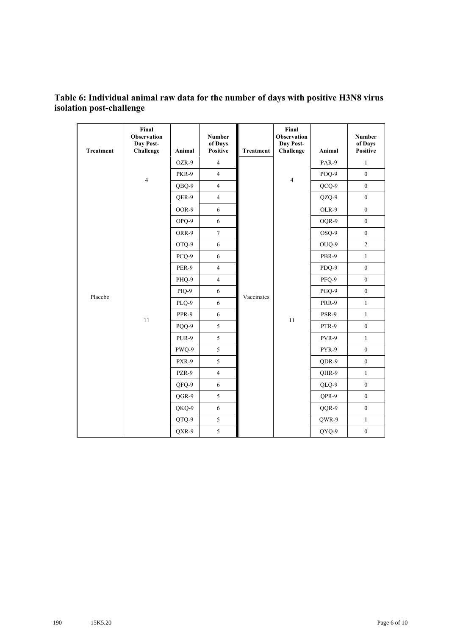## **Table 6: Individual animal raw data for the number of days with positive H3N8 virus isolation post-challenge**

| <b>Treatment</b> | Final<br><b>Observation</b><br>Day Post-<br>Challenge | Animal | <b>Number</b><br>of Days<br><b>Positive</b> | <b>Treatment</b> | Final<br><b>Observation</b><br>Day Post-<br>Challenge | Animal | <b>Number</b><br>of Days<br><b>Positive</b> |
|------------------|-------------------------------------------------------|--------|---------------------------------------------|------------------|-------------------------------------------------------|--------|---------------------------------------------|
|                  |                                                       | OZR-9  | $\overline{4}$                              |                  |                                                       | PAR-9  | $\mathbf{1}$                                |
|                  |                                                       | PKR-9  | $\overline{4}$                              |                  |                                                       | POQ-9  | $\boldsymbol{0}$                            |
|                  | $\overline{4}$                                        | QBQ-9  | $\overline{4}$                              |                  | $\overline{4}$                                        | QCQ-9  | $\overline{0}$                              |
|                  |                                                       | QER-9  | $\overline{4}$                              |                  |                                                       | QZQ-9  | $\boldsymbol{0}$                            |
|                  |                                                       | OOR-9  | 6                                           |                  |                                                       | OLR-9  | $\boldsymbol{0}$                            |
|                  |                                                       | OPQ-9  | 6                                           |                  |                                                       | OQR-9  | $\boldsymbol{0}$                            |
|                  |                                                       | ORR-9  | $\tau$                                      |                  |                                                       | OSQ-9  | $\boldsymbol{0}$                            |
|                  |                                                       | OTQ-9  | $\sqrt{6}$                                  |                  |                                                       | OUQ-9  | $\mathbf{2}$                                |
|                  |                                                       | PCQ-9  | $\sqrt{6}$                                  |                  |                                                       | PBR-9  | $\mathbf{1}$                                |
|                  |                                                       | PER-9  | $\overline{4}$                              |                  |                                                       | PDQ-9  | $\boldsymbol{0}$                            |
|                  |                                                       | PHQ-9  | $\overline{4}$                              |                  |                                                       | PFQ-9  | $\boldsymbol{0}$                            |
| Placebo          |                                                       | PIQ-9  | 6                                           | Vaccinates       |                                                       | PGQ-9  | $\boldsymbol{0}$                            |
|                  |                                                       | PLQ-9  | 6                                           |                  |                                                       | PRR-9  | $\mathbf{1}$                                |
|                  | 11                                                    | PPR-9  | 6                                           |                  | 11                                                    | PSR-9  | $\mathbf{1}$                                |
|                  |                                                       | PQQ-9  | 5                                           |                  |                                                       | PTR-9  | $\boldsymbol{0}$                            |
|                  |                                                       | PUR-9  | 5                                           |                  |                                                       | PVR-9  | $\mathbf{1}$                                |
|                  |                                                       | PWQ-9  | 5                                           |                  |                                                       | PYR-9  | $\boldsymbol{0}$                            |
|                  |                                                       | PXR-9  | 5                                           |                  |                                                       | QDR-9  | $\boldsymbol{0}$                            |
|                  |                                                       | PZR-9  | $\overline{4}$                              |                  |                                                       | QHR-9  | $\mathbf{1}$                                |
|                  |                                                       | QFQ-9  | 6                                           |                  |                                                       | QLQ-9  | $\boldsymbol{0}$                            |
|                  |                                                       | QGR-9  | 5                                           |                  |                                                       | QPR-9  | $\boldsymbol{0}$                            |
|                  |                                                       | QKQ-9  | 6                                           |                  |                                                       | QQR-9  | $\boldsymbol{0}$                            |
|                  |                                                       | QTQ-9  | 5                                           |                  |                                                       | QWR-9  | $\mathbf{1}$                                |
|                  |                                                       | QXR-9  | 5                                           |                  |                                                       | QYQ-9  | $\boldsymbol{0}$                            |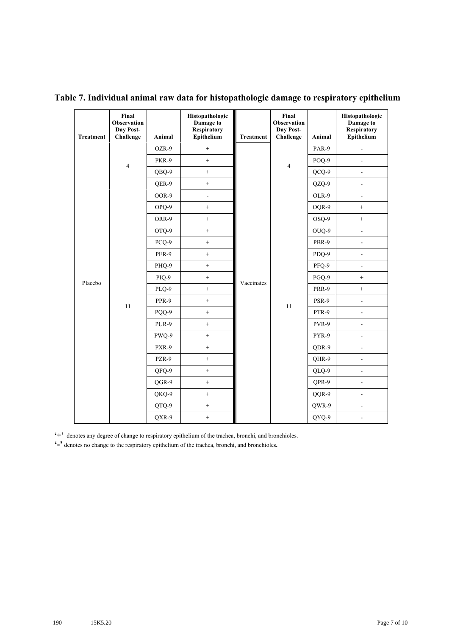| <b>Treatment</b> | Final<br><b>Observation</b><br>Day Post-<br>Challenge | Animal                                              | Histopathologic<br>Damage to<br><b>Respiratory</b><br>Epithelium | <b>Treatment</b> | Final<br><b>Observation</b><br>Day Post-<br>Challenge | Animal         | Histopathologic<br>Damage to<br><b>Respiratory</b><br>Epithelium |
|------------------|-------------------------------------------------------|-----------------------------------------------------|------------------------------------------------------------------|------------------|-------------------------------------------------------|----------------|------------------------------------------------------------------|
|                  |                                                       | OZR-9                                               | $\ddot{}$                                                        |                  |                                                       | PAR-9          | $\blacksquare$                                                   |
|                  |                                                       | PKR-9<br>$^{+}$<br>$\overline{4}$<br>$\overline{4}$ |                                                                  | POQ-9            | $\overline{\phantom{a}}$                              |                |                                                                  |
|                  |                                                       | QBQ-9                                               | $\pm$                                                            |                  |                                                       | QCQ-9          | $\blacksquare$                                                   |
|                  |                                                       | QER-9                                               | $\boldsymbol{+}$                                                 |                  |                                                       | QZQ-9          | $\overline{\phantom{a}}$                                         |
|                  |                                                       | OOR-9                                               | $\frac{1}{2}$                                                    |                  |                                                       | OLR-9          | $\overline{\phantom{a}}$                                         |
|                  |                                                       | OPQ-9                                               | $\boldsymbol{+}$                                                 |                  |                                                       | OQR-9          | $\qquad \qquad +$                                                |
|                  |                                                       | ORR-9                                               | $\qquad \qquad +$                                                |                  |                                                       | OSQ-9          | $\, +$                                                           |
|                  |                                                       | OTQ-9                                               | $\qquad \qquad +$                                                |                  |                                                       | OUQ-9          | $\overline{\phantom{a}}$                                         |
|                  |                                                       | PCO-9                                               | $^{+}$                                                           |                  |                                                       | PBR-9          | ä,                                                               |
|                  |                                                       | PER-9                                               | $\pm$                                                            |                  |                                                       | PDO-9          | ä,                                                               |
|                  |                                                       | PHQ-9                                               | $\boldsymbol{+}$                                                 |                  |                                                       | PFQ-9          | $\blacksquare$                                                   |
| Placebo          |                                                       | PIQ-9                                               | $\qquad \qquad +$                                                | Vaccinates       |                                                       | PGQ-9          | $^{+}$                                                           |
|                  |                                                       | PLQ-9                                               | $\ddot{}$                                                        |                  |                                                       | PRR-9          | $^{+}$                                                           |
|                  | 11                                                    | PPR-9                                               | $^{+}$                                                           |                  | 11                                                    | PSR-9          | $\frac{1}{2}$                                                    |
|                  |                                                       | PQQ-9                                               | $\boldsymbol{+}$                                                 |                  |                                                       | PTR-9          | $\Box$                                                           |
|                  |                                                       | PUR-9                                               | $\qquad \qquad +$                                                |                  |                                                       | PVR-9          | $\overline{\phantom{a}}$                                         |
|                  |                                                       | PWQ-9                                               | $\ddot{}$                                                        |                  |                                                       | PYR-9          | $\overline{\phantom{a}}$                                         |
|                  |                                                       | PXR-9                                               | $\pm$                                                            |                  |                                                       | QDR-9          | $\overline{a}$                                                   |
|                  |                                                       | PZR-9                                               | $\pm$                                                            |                  |                                                       | QHR-9          | $\blacksquare$                                                   |
|                  |                                                       | QFQ-9                                               | $\boldsymbol{+}$                                                 |                  |                                                       | QLQ-9          | $\blacksquare$                                                   |
|                  |                                                       | QGR-9                                               | $\qquad \qquad +$                                                |                  |                                                       | QPR-9          | $\blacksquare$                                                   |
|                  |                                                       | QKQ-9                                               | $\pm$                                                            |                  | QQR-9                                                 | $\overline{a}$ |                                                                  |
|                  |                                                       | QTQ-9                                               | $\pm$                                                            |                  |                                                       | QWR-9          | $\overline{\phantom{a}}$                                         |
|                  |                                                       | QXR-9                                               | $\boldsymbol{+}$                                                 |                  |                                                       | QYQ-9          | $\overline{\phantom{a}}$                                         |

**Table 7. Individual animal raw data for histopathologic damage to respiratory epithelium**

**'+'** denotes any degree of change to respiratory epithelium of the trachea, bronchi, and bronchioles.

**'-'** denotes no change to the respiratory epithelium of the trachea, bronchi, and bronchioles**.**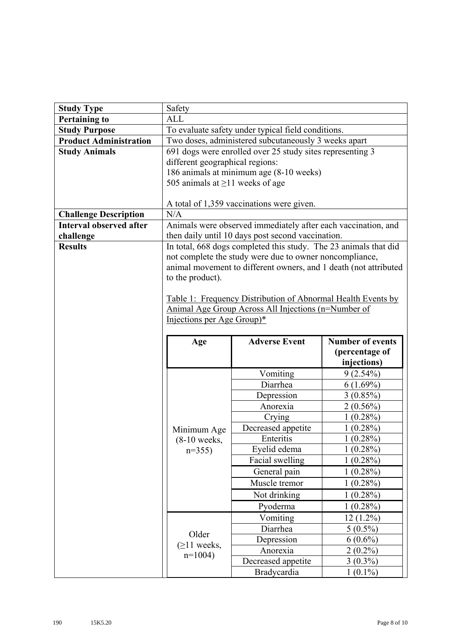| <b>Study Type</b>              | Safety                                                    |                                                                  |                               |  |  |  |  |  |  |
|--------------------------------|-----------------------------------------------------------|------------------------------------------------------------------|-------------------------------|--|--|--|--|--|--|
| <b>Pertaining to</b>           | <b>ALL</b>                                                |                                                                  |                               |  |  |  |  |  |  |
| <b>Study Purpose</b>           |                                                           | To evaluate safety under typical field conditions.               |                               |  |  |  |  |  |  |
| <b>Product Administration</b>  | Two doses, administered subcutaneously 3 weeks apart      |                                                                  |                               |  |  |  |  |  |  |
| <b>Study Animals</b>           | 691 dogs were enrolled over 25 study sites representing 3 |                                                                  |                               |  |  |  |  |  |  |
|                                | different geographical regions:                           |                                                                  |                               |  |  |  |  |  |  |
|                                | 186 animals at minimum age (8-10 weeks)                   |                                                                  |                               |  |  |  |  |  |  |
|                                | 505 animals at $\geq$ 11 weeks of age                     |                                                                  |                               |  |  |  |  |  |  |
|                                |                                                           |                                                                  |                               |  |  |  |  |  |  |
|                                |                                                           | A total of 1,359 vaccinations were given.                        |                               |  |  |  |  |  |  |
| <b>Challenge Description</b>   | N/A                                                       |                                                                  |                               |  |  |  |  |  |  |
| <b>Interval observed after</b> |                                                           | Animals were observed immediately after each vaccination, and    |                               |  |  |  |  |  |  |
| challenge                      |                                                           | then daily until 10 days post second vaccination.                |                               |  |  |  |  |  |  |
| <b>Results</b>                 |                                                           | In total, 668 dogs completed this study. The 23 animals that did |                               |  |  |  |  |  |  |
|                                |                                                           | not complete the study were due to owner noncompliance,          |                               |  |  |  |  |  |  |
|                                | to the product).                                          | animal movement to different owners, and 1 death (not attributed |                               |  |  |  |  |  |  |
|                                |                                                           |                                                                  |                               |  |  |  |  |  |  |
|                                |                                                           | Table 1: Frequency Distribution of Abnormal Health Events by     |                               |  |  |  |  |  |  |
|                                |                                                           | Animal Age Group Across All Injections (n=Number of              |                               |  |  |  |  |  |  |
|                                | Injections per Age Group)*                                |                                                                  |                               |  |  |  |  |  |  |
|                                |                                                           |                                                                  |                               |  |  |  |  |  |  |
|                                |                                                           |                                                                  |                               |  |  |  |  |  |  |
|                                |                                                           | <b>Adverse Event</b>                                             | <b>Number of events</b>       |  |  |  |  |  |  |
|                                | Age                                                       |                                                                  |                               |  |  |  |  |  |  |
|                                |                                                           |                                                                  | (percentage of<br>injections) |  |  |  |  |  |  |
|                                |                                                           | Vomiting                                                         | $9(2.54\%)$                   |  |  |  |  |  |  |
|                                |                                                           | Diarrhea                                                         | $6(1.69\%)$                   |  |  |  |  |  |  |
|                                |                                                           | Depression                                                       | $3(0.85\%)$                   |  |  |  |  |  |  |
|                                |                                                           | Anorexia                                                         | $2(0.56\%)$                   |  |  |  |  |  |  |
|                                |                                                           | Crying                                                           | $1(0.28\%)$                   |  |  |  |  |  |  |
|                                | Minimum Age                                               | Decreased appetite                                               | $1(0.28\%)$                   |  |  |  |  |  |  |
|                                | $(8-10$ weeks,                                            | Enteritis                                                        | $1(0.28\%)$                   |  |  |  |  |  |  |
|                                | $n=355$                                                   | Eyelid edema                                                     | 1(0.28%)                      |  |  |  |  |  |  |
|                                |                                                           | Facial swelling                                                  | 1(0.28%)                      |  |  |  |  |  |  |
|                                |                                                           | General pain                                                     | $1(0.28\%)$                   |  |  |  |  |  |  |
|                                |                                                           | Muscle tremor                                                    | $1(0.28\%)$                   |  |  |  |  |  |  |
|                                |                                                           | Not drinking                                                     | $1(0.28\%)$                   |  |  |  |  |  |  |
|                                |                                                           | Pyoderma                                                         | $1(0.28\%)$                   |  |  |  |  |  |  |
|                                |                                                           | Vomiting                                                         | $12(1.2\%)$                   |  |  |  |  |  |  |
|                                |                                                           | Diarrhea                                                         | $5(0.5\%)$                    |  |  |  |  |  |  |
|                                | Older                                                     | Depression                                                       | $6(0.6\%)$                    |  |  |  |  |  |  |
|                                | $(\geq)$ 1 weeks,                                         | Anorexia                                                         | $2(0.2\%)$                    |  |  |  |  |  |  |
|                                | $n=1004$ )                                                | Decreased appetite                                               | $3(0.3\%)$                    |  |  |  |  |  |  |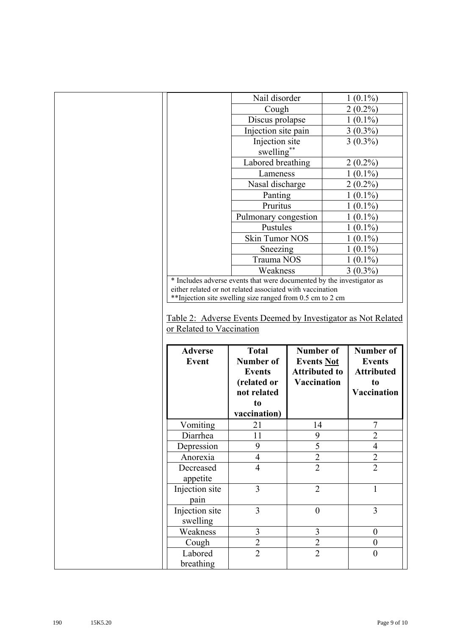|                                | Nail disorder                                                                                                                                                                            |                                                        | $1(0.1\%)$                                      |
|--------------------------------|------------------------------------------------------------------------------------------------------------------------------------------------------------------------------------------|--------------------------------------------------------|-------------------------------------------------|
|                                | Cough                                                                                                                                                                                    |                                                        | $2(0.2\%)$                                      |
|                                | Discus prolapse                                                                                                                                                                          |                                                        | $1(0.1\%)$                                      |
|                                | Injection site pain                                                                                                                                                                      |                                                        | $3(0.3\%)$                                      |
|                                | Injection site                                                                                                                                                                           |                                                        | $3(0.3\%)$                                      |
|                                | swelling**                                                                                                                                                                               |                                                        |                                                 |
|                                | Labored breathing                                                                                                                                                                        |                                                        | $2(0.2\%)$                                      |
|                                | Lameness                                                                                                                                                                                 |                                                        | $1(0.1\%)$                                      |
|                                | Nasal discharge                                                                                                                                                                          |                                                        | $2(0.2\%)$                                      |
|                                | Panting                                                                                                                                                                                  |                                                        | $1(0.1\%)$                                      |
|                                | Pruritus                                                                                                                                                                                 |                                                        | $1(0.1\%)$                                      |
|                                | Pulmonary congestion                                                                                                                                                                     |                                                        | $1(0.1\%)$                                      |
|                                | Pustules                                                                                                                                                                                 |                                                        | $1(0.1\%)$                                      |
|                                | Skin Tumor NOS                                                                                                                                                                           |                                                        | $1(0.1\%)$                                      |
|                                | Sneezing                                                                                                                                                                                 |                                                        | $1(0.1\%)$                                      |
|                                | Trauma NOS                                                                                                                                                                               |                                                        | $1(0.1\%)$                                      |
|                                | Weakness                                                                                                                                                                                 |                                                        | $3(0.3\%)$                                      |
|                                | * Includes adverse events that were documented by the investigator as                                                                                                                    |                                                        |                                                 |
|                                |                                                                                                                                                                                          |                                                        |                                                 |
| or Related to Vaccination      | either related or not related associated with vaccination<br>** Injection site swelling size ranged from 0.5 cm to 2 cm<br>Table 2: Adverse Events Deemed by Investigator as Not Related |                                                        |                                                 |
| <b>Adverse</b><br><b>Event</b> | <b>Total</b><br>Number of<br><b>Events</b>                                                                                                                                               | Number of<br><b>Events Not</b><br><b>Attributed to</b> | Number of<br><b>Events</b><br><b>Attributed</b> |
|                                | (related or                                                                                                                                                                              | <b>Vaccination</b>                                     | t <sub>0</sub>                                  |
|                                | not related                                                                                                                                                                              |                                                        | Vaccination                                     |
|                                | to                                                                                                                                                                                       |                                                        |                                                 |
|                                | vaccination)                                                                                                                                                                             |                                                        |                                                 |
| Vomiting                       | 21                                                                                                                                                                                       | 14                                                     | 7                                               |
| Diarrhea                       | 11                                                                                                                                                                                       | 9                                                      | $\overline{2}$                                  |
| Depression                     | 9                                                                                                                                                                                        | 5                                                      | $\overline{4}$                                  |
| Anorexia                       | $\overline{4}$                                                                                                                                                                           | $\overline{c}$                                         | $\overline{c}$                                  |
| Decreased                      | $\overline{4}$                                                                                                                                                                           | $\overline{2}$                                         | $\overline{2}$                                  |
| appetite                       | $\overline{3}$                                                                                                                                                                           | $\overline{2}$                                         | $\mathbf{1}$                                    |
| Injection site                 |                                                                                                                                                                                          |                                                        |                                                 |
| pain<br>Injection site         | $\overline{3}$                                                                                                                                                                           | $\boldsymbol{0}$                                       | 3                                               |
|                                |                                                                                                                                                                                          |                                                        |                                                 |
| swelling<br>Weakness           | $\mathfrak{Z}$                                                                                                                                                                           | 3                                                      | $\boldsymbol{0}$                                |
| Cough                          | $\overline{2}$                                                                                                                                                                           | $\overline{2}$                                         | $\mathbf{0}$                                    |
| Labored                        | $\overline{2}$                                                                                                                                                                           | $\overline{2}$                                         | $\overline{0}$                                  |